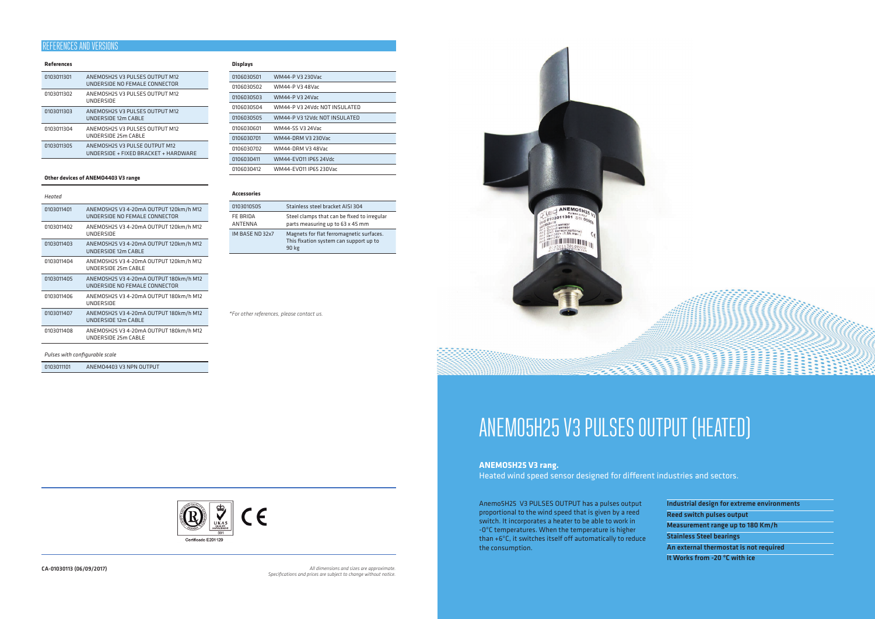## **References**

| 0103011301 | ANEMO5H25 V3 PULSES OUTPUT M12<br>UNDERSIDE NO FEMALE CONNECTOR       |
|------------|-----------------------------------------------------------------------|
| 0103011302 | ANEMOSH25 V3 PULSES OUTPUT M12<br>UNDERSIDE                           |
| 0103011303 | ANEMO5H25 V3 PULSES OUTPUT M12<br>UNDERSIDE 12m CABLE                 |
| 0103011304 | ANEMOSH25 V3 PULSES OUTPUT M12<br>UNDERSIDE 25m CABLE                 |
| 0103011305 | ANEMO5H25 V3 PULSE OUTPUT M12<br>UNDERSIDE + FIXED BRACKET + HARDWARE |
|            |                                                                       |

## **Other devices of ANEMO4403 V3 range**

| Heated     |                                                                         |
|------------|-------------------------------------------------------------------------|
| 0103011401 | ANEMO5H25 V3 4-20mA OUTPUT 120km/h M12<br>UNDERSIDE NO FEMALE CONNECTOR |
| 0103011402 | ANEMO5H25 V3 4-20mA OUTPUT 120km/h M12<br>UNDERSIDE                     |
| 0103011403 | ANEMO5H25 V3 4-20mA OUTPUT 120km/h M12<br>UNDERSIDE 12m CABLE           |
| 0103011404 | ANEMO5H25 V3 4-20mA OUTPUT 120km/h M12<br>UNDERSIDE 25m CABLE           |
| 0103011405 | ANEMO5H25 V3 4-20mA OUTPUT 180km/h M12<br>UNDERSIDE NO FEMALE CONNECTOR |
| 0103011406 | ANEMO5H25 V3 4-20mA OUTPUT 180km/h M12<br>UNDERSIDE                     |
| 0103011407 | ANEMO5H25 V3 4-20mA OUTPUT 180km/h M12<br>UNDERSIDE 12m CABLE           |
| 0103011408 | ANEMO5H25 V3 4-20mA OUTPUT 180km/h M12<br>UNDERSIDE 25m CABLE           |
|            |                                                                         |

## *Pulses with configurable scale*

0103011101 ANEMO4403 V3 NPN OUTPUT

## **Displays**

| 0106030501 | WM44-P V3 230Vac              |
|------------|-------------------------------|
| 0106030502 | WM44-P V3 48Var               |
| 0106030503 | WM44-P V3 24Var               |
| 0106030504 | WM44-P V3 24Vdr NOT INSULATED |
| 0106030505 | WM44-P V3 12Vdr NOT INSULATED |
| 0106030601 | WM44-SS V3 24Var              |
| 0106030701 | WM44-DRM V3 230Var            |
| 0106030702 | WM44-DRM V3 48Vac             |
| 0106030411 | WM44-FV011 IP65 24Vdc         |
| 0106030412 | WM44-FV011 IP65 230Var        |
|            |                               |

## **Accessories**

| 0103010505                 | Stainless steel bracket AISI 304                                                            |
|----------------------------|---------------------------------------------------------------------------------------------|
| FE BRIDA<br><b>ANTENNA</b> | Steel clamps that can be fixed to irregular<br>parts measuring up to 63 x 45 mm             |
| IM BASE ND 32x7            | Magnets for flat ferromagnetic surfaces.<br>This fixation system can support up to<br>90 kg |

Anemo5H25 V3 PULSES OUTPUT has a pulses output proportional to the wind speed that is given by a reed switch. It incorporates a heater to be able to work in -0ºC temperatures. When the temperature is higher than +6ºC, it switches itself off automatically to reduce the consumption.

| Industrial design for extreme environments |  |
|--------------------------------------------|--|
| <b>Reed switch pulses output</b>           |  |
| Measurement range up to 180 Km/h           |  |
| <b>Stainless Steel bearings</b>            |  |
| An external thermostat is not required     |  |
| It Works from -20 °C with ice              |  |

# ANEMO5H25 V3 PULSES OUTPUT (HEATED)

# **ANEMO5H25 V3 rang.**

Heated wind speed sensor designed for different industries and sectors.

CA-01030113 (06/09/2017) *All dimensions and sizes are approximate. Specifications and prices are subject to change without notice.*



# REFERENCES AND VERSIONS

*\*For other references, please contact us.*